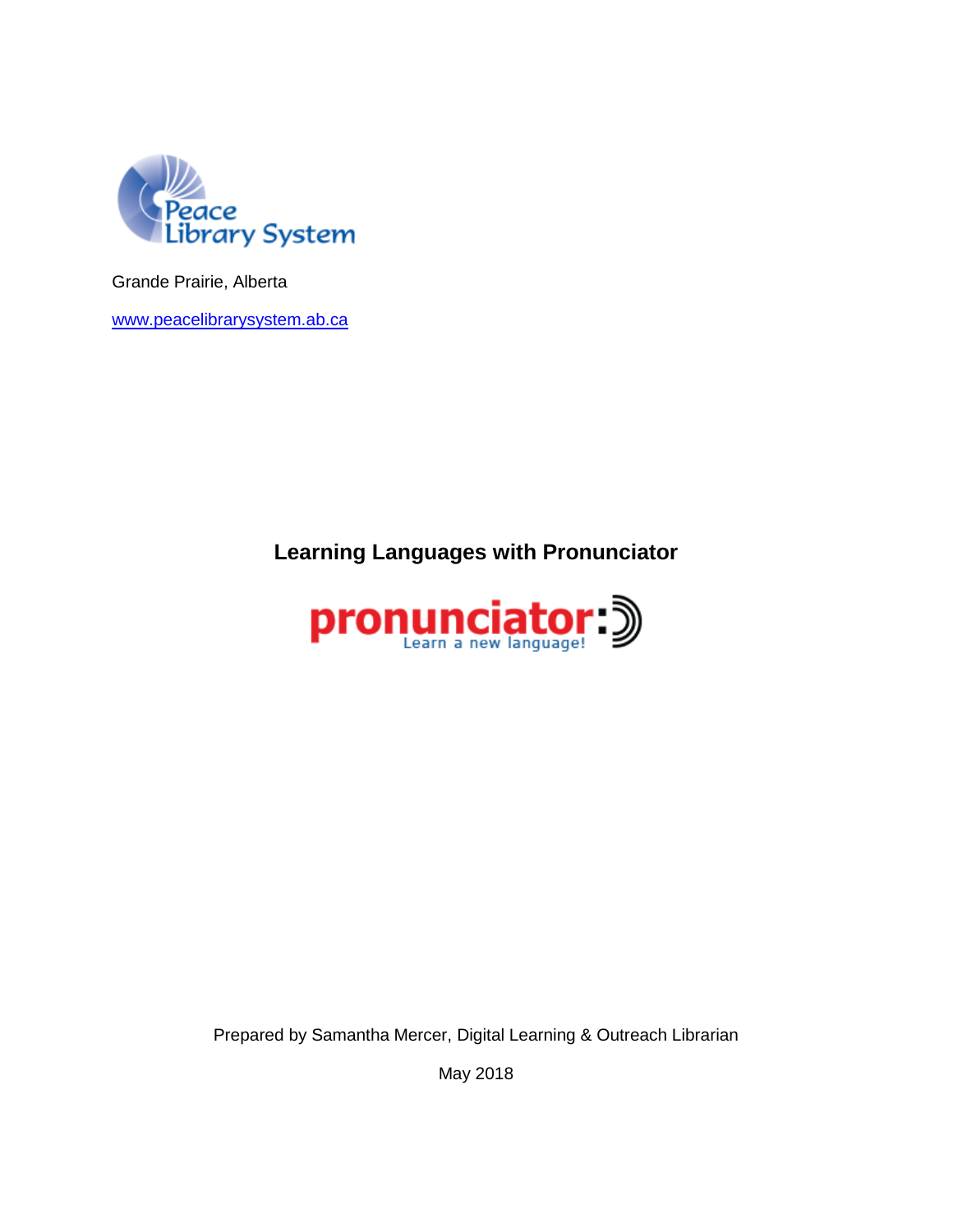

Grande Prairie, Alberta

[www.peacelibrarysystem.ab.ca](http://www.peacelibrarysystem.ab.ca/)

**Learning Languages with Pronunciator**



Prepared by Samantha Mercer, Digital Learning & Outreach Librarian

May 2018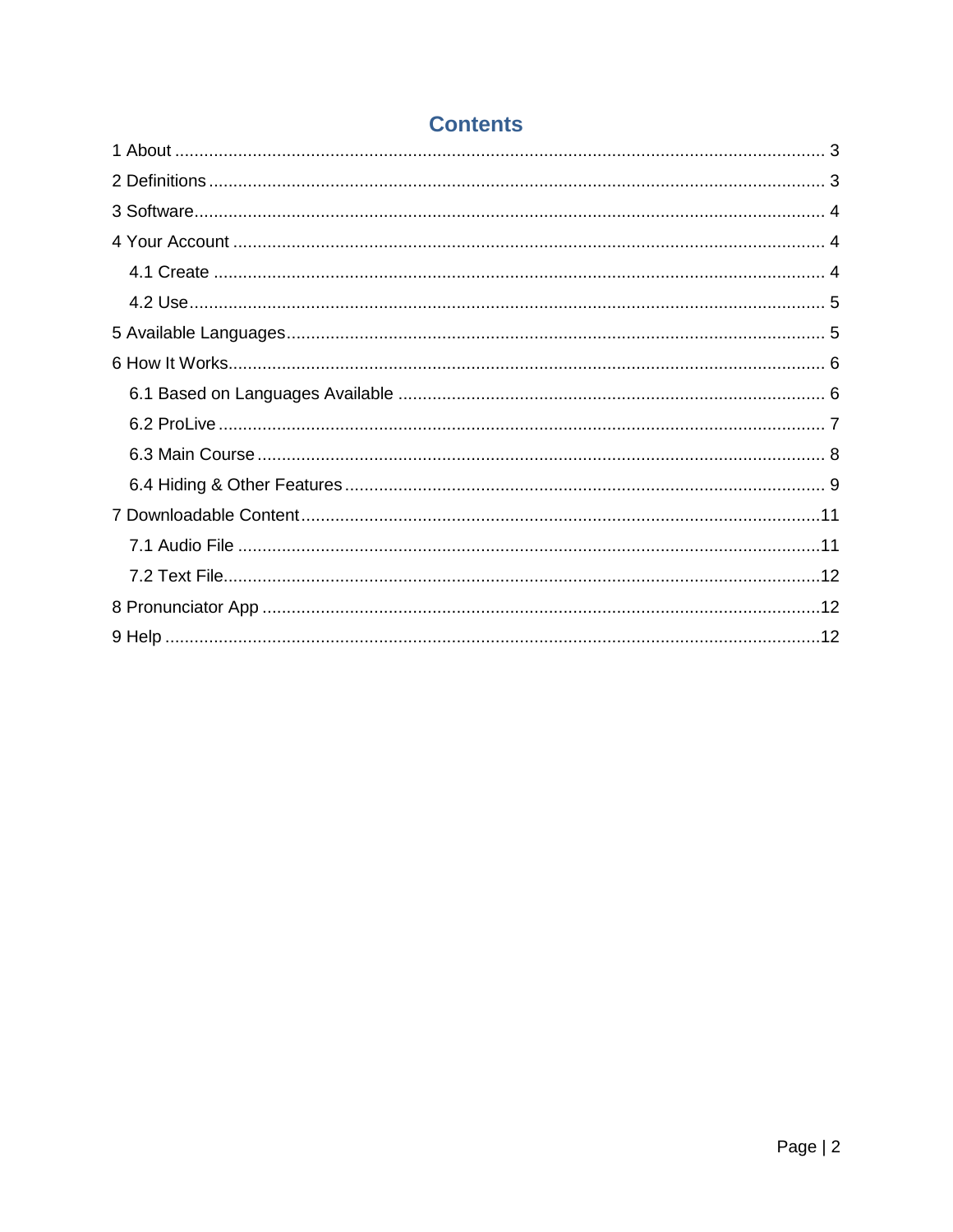# **Contents**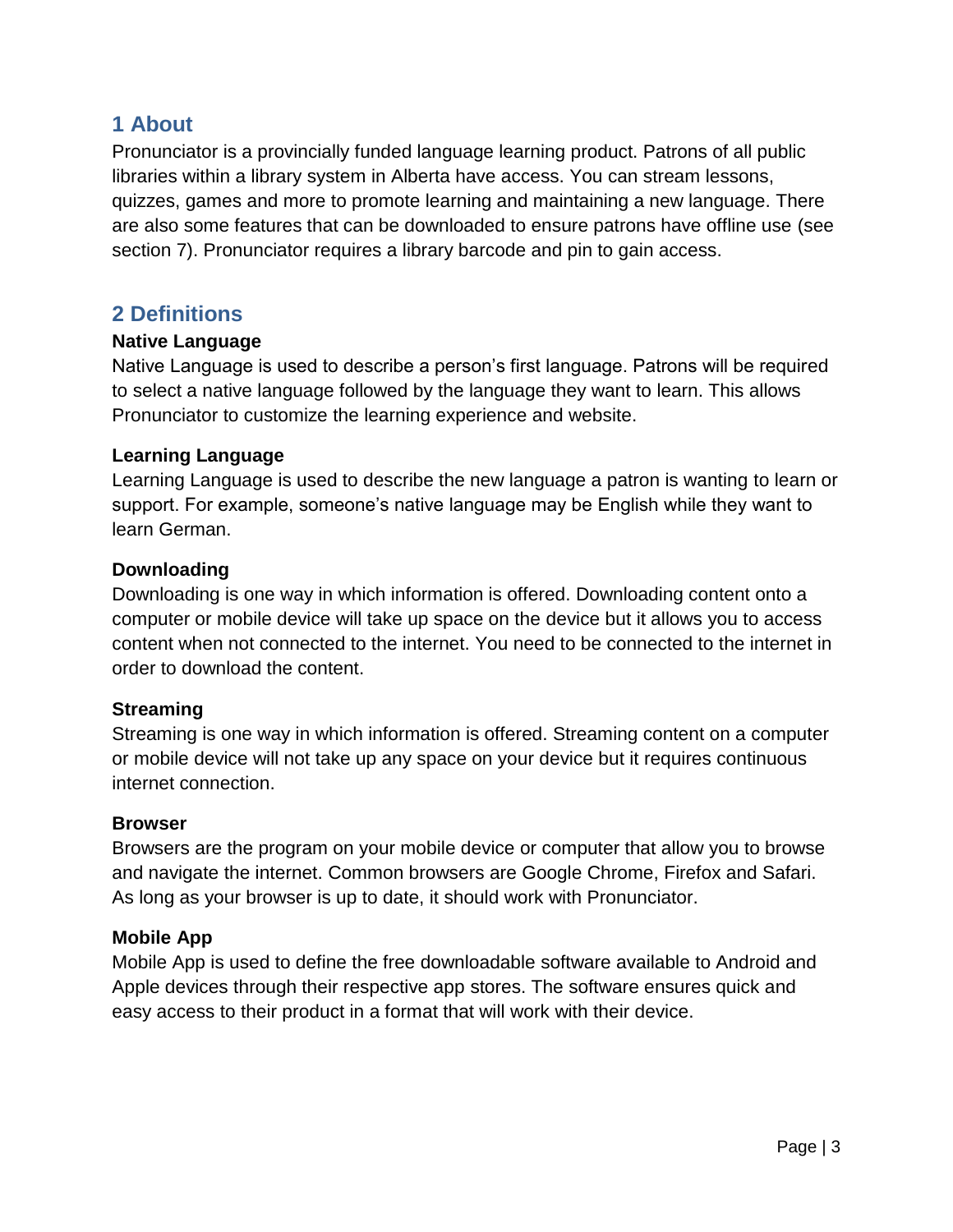## <span id="page-2-0"></span>**1 About**

Pronunciator is a provincially funded language learning product. Patrons of all public libraries within a library system in Alberta have access. You can stream lessons, quizzes, games and more to promote learning and maintaining a new language. There are also some features that can be downloaded to ensure patrons have offline use (see section 7). Pronunciator requires a library barcode and pin to gain access.

## <span id="page-2-1"></span>**2 Definitions**

### **Native Language**

Native Language is used to describe a person's first language. Patrons will be required to select a native language followed by the language they want to learn. This allows Pronunciator to customize the learning experience and website.

### **Learning Language**

Learning Language is used to describe the new language a patron is wanting to learn or support. For example, someone's native language may be English while they want to learn German.

### **Downloading**

Downloading is one way in which information is offered. Downloading content onto a computer or mobile device will take up space on the device but it allows you to access content when not connected to the internet. You need to be connected to the internet in order to download the content.

### **Streaming**

Streaming is one way in which information is offered. Streaming content on a computer or mobile device will not take up any space on your device but it requires continuous internet connection.

#### **Browser**

Browsers are the program on your mobile device or computer that allow you to browse and navigate the internet. Common browsers are Google Chrome, Firefox and Safari. As long as your browser is up to date, it should work with Pronunciator.

### **Mobile App**

Mobile App is used to define the free downloadable software available to Android and Apple devices through their respective app stores. The software ensures quick and easy access to their product in a format that will work with their device.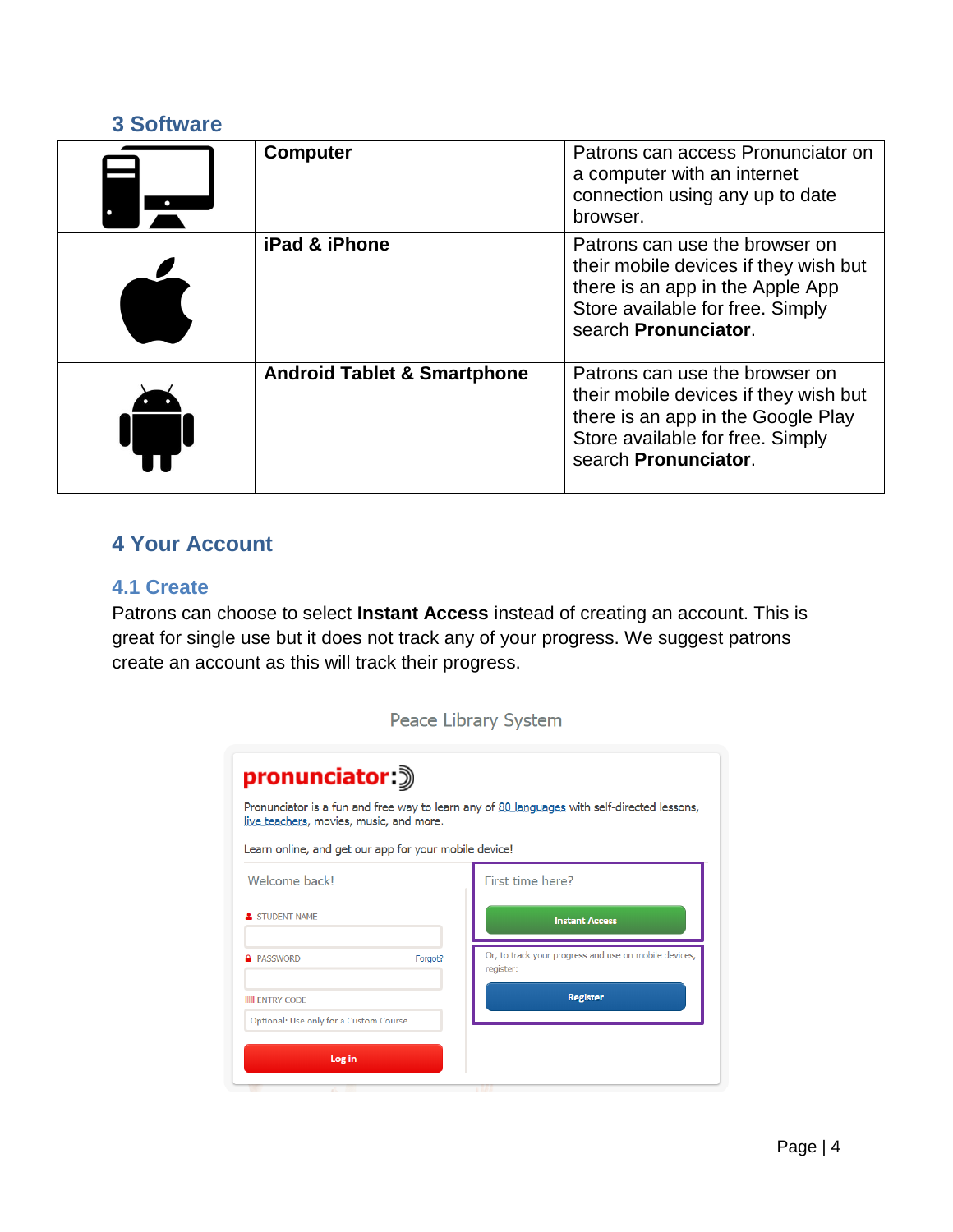## <span id="page-3-0"></span>**3 Software**

| <b>Computer</b>                        | Patrons can access Pronunciator on<br>a computer with an internet<br>connection using any up to date<br>browser.                                                          |
|----------------------------------------|---------------------------------------------------------------------------------------------------------------------------------------------------------------------------|
| iPad & iPhone                          | Patrons can use the browser on<br>their mobile devices if they wish but<br>there is an app in the Apple App<br>Store available for free. Simply<br>search Pronunciator.   |
| <b>Android Tablet &amp; Smartphone</b> | Patrons can use the browser on<br>their mobile devices if they wish but<br>there is an app in the Google Play<br>Store available for free. Simply<br>search Pronunciator. |

## <span id="page-3-1"></span>**4 Your Account**

### <span id="page-3-2"></span>**4.1 Create**

Patrons can choose to select **Instant Access** instead of creating an account. This is great for single use but it does not track any of your progress. We suggest patrons create an account as this will track their progress.

| Peace Library System                                                                                                                                     |                                                                    |  |  |  |
|----------------------------------------------------------------------------------------------------------------------------------------------------------|--------------------------------------------------------------------|--|--|--|
| pronunciator 3<br>Pronunciator is a fun and free way to learn any of 80 languages with self-directed lessons,<br>live teachers, movies, music, and more. |                                                                    |  |  |  |
|                                                                                                                                                          |                                                                    |  |  |  |
|                                                                                                                                                          | First time here?                                                   |  |  |  |
|                                                                                                                                                          | <b>Instant Access</b>                                              |  |  |  |
| Forgot?                                                                                                                                                  | Or, to track your progress and use on mobile devices,<br>register: |  |  |  |
|                                                                                                                                                          | <b>Register</b>                                                    |  |  |  |
|                                                                                                                                                          |                                                                    |  |  |  |
|                                                                                                                                                          |                                                                    |  |  |  |
|                                                                                                                                                          | Optional: Use only for a Custom Course                             |  |  |  |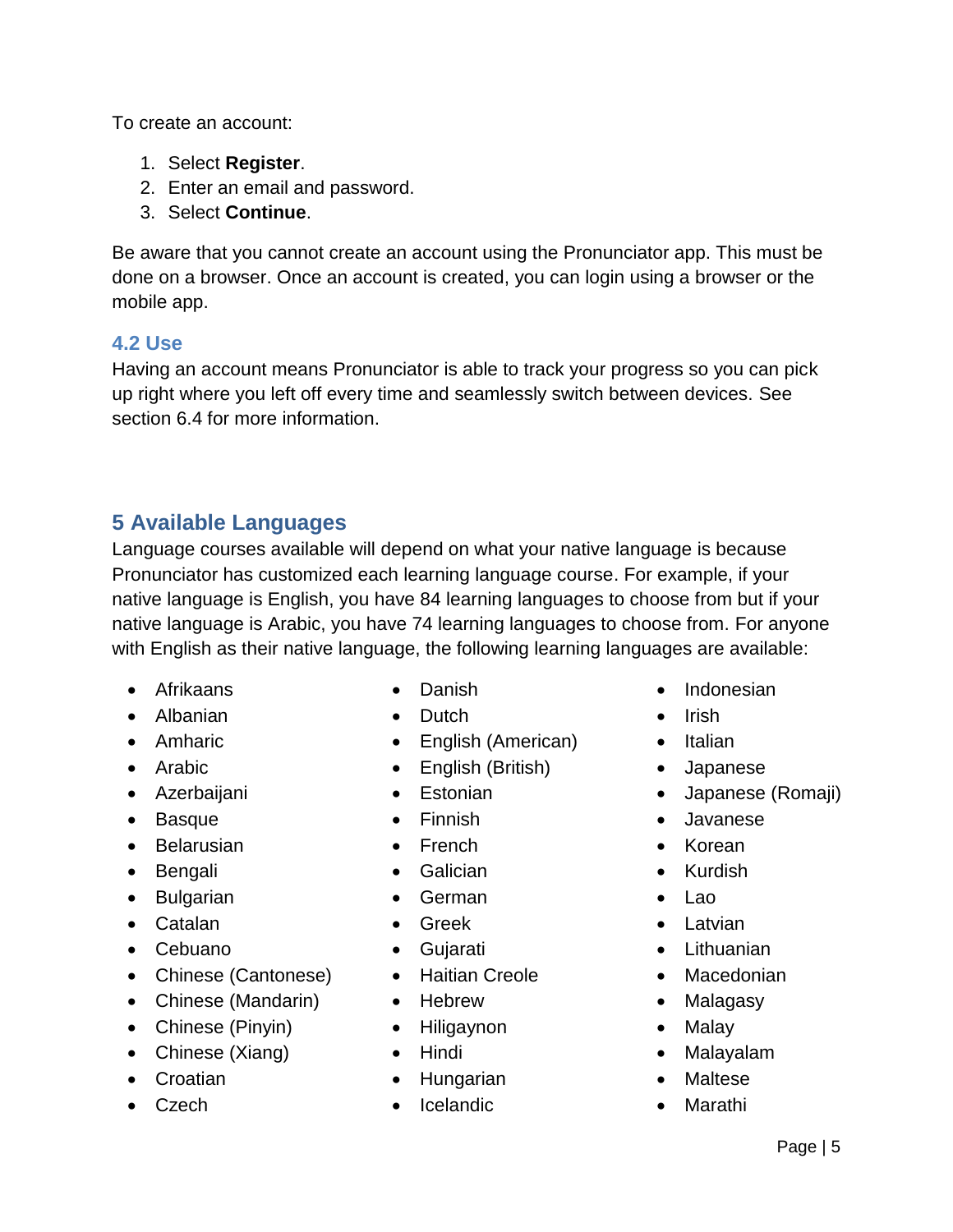To create an account:

- 1. Select **Register**.
- 2. Enter an email and password.
- 3. Select **Continue**.

Be aware that you cannot create an account using the Pronunciator app. This must be done on a browser. Once an account is created, you can login using a browser or the mobile app.

### <span id="page-4-0"></span>**4.2 Use**

Having an account means Pronunciator is able to track your progress so you can pick up right where you left off every time and seamlessly switch between devices. See section 6.4 for more information.

# <span id="page-4-1"></span>**5 Available Languages**

Language courses available will depend on what your native language is because Pronunciator has customized each learning language course. For example, if your native language is English, you have 84 learning languages to choose from but if your native language is Arabic, you have 74 learning languages to choose from. For anyone with English as their native language, the following learning languages are available:

- Afrikaans
- Albanian
- Amharic
- Arabic
- **•** Azerbaijani
- Basque
- Belarusian
- Bengali
- Bulgarian
- Catalan
- Cebuano
- Chinese (Cantonese)
- Chinese (Mandarin)
- Chinese (Pinyin)
- Chinese (Xiang)
- Croatian
- Czech
- Danish
- Dutch
- English (American)
- English (British)
- Estonian
- Finnish
- French
- Galician
- German
- Greek
- Gujarati
- Haitian Creole
- Hebrew
- Hiligaynon
- Hindi
- Hungarian
- Icelandic
- Indonesian
- $\bullet$  Irish
- Italian
- Japanese
- Japanese (Romaji)
- Javanese
- Korean
- Kurdish
- Lao
- Latvian
- Lithuanian
- Macedonian
- Malagasy
- Malay
- Malayalam
- Maltese
- Marathi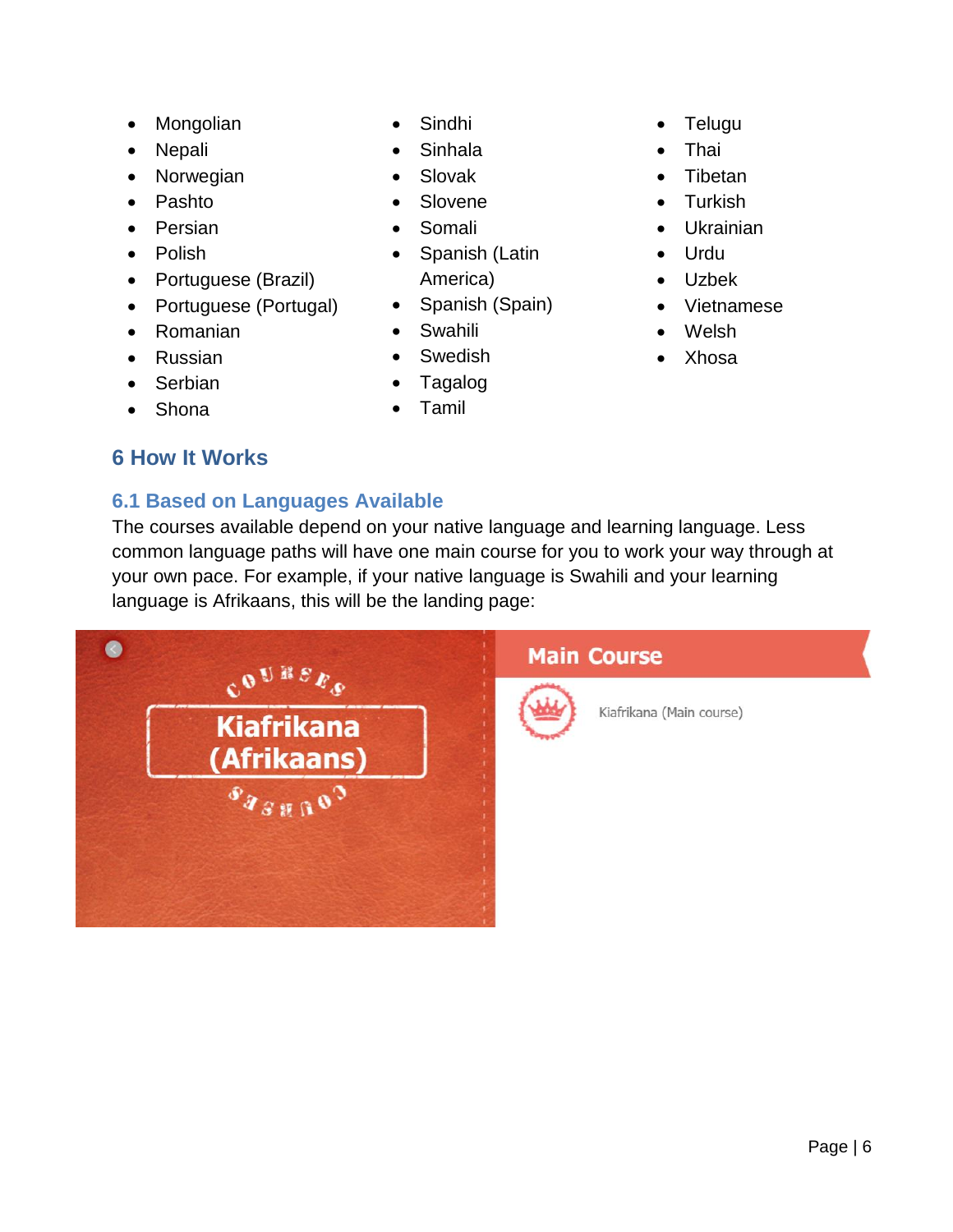- Mongolian
- Nepali
- Norwegian
- Pashto
- Persian
- Polish
- Portuguese (Brazil)
- Portuguese (Portugal)
- Romanian
- Russian
- Serbian
- Shona

## <span id="page-5-0"></span>**6 How It Works**

## <span id="page-5-1"></span>**6.1 Based on Languages Available**

• Sindhi

- Sinhala
- Slovak
- Slovene
- Somali
- Spanish (Latin America)
- Spanish (Spain)
- Swahili
- Swedish
- Tagalog
- Tamil
- Telugu
- Thai
- Tibetan
- Turkish
- Ukrainian
- Urdu
- Uzbek
- Vietnamese
- Welsh
- Xhosa

Kiafrikana (Main course)

The courses available depend on your native language and learning language. Less common language paths will have one main course for you to work your way through at your own pace. For example, if your native language is Swahili and your learning language is Afrikaans, this will be the landing page:



### Page | 6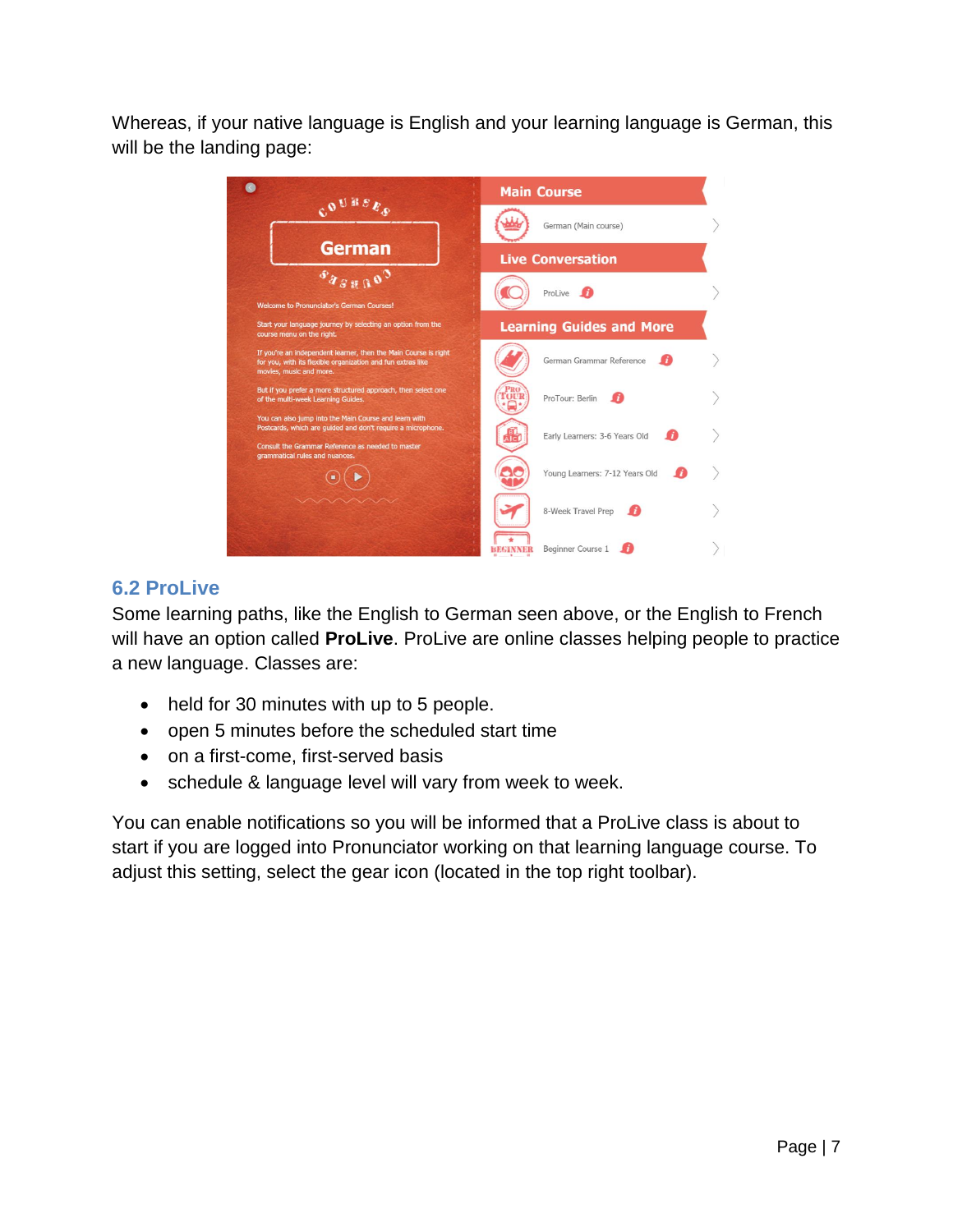Whereas, if your native language is English and your learning language is German, this will be the landing page:



## <span id="page-6-0"></span>**6.2 ProLive**

Some learning paths, like the English to German seen above, or the English to French will have an option called **ProLive**. ProLive are online classes helping people to practice a new language. Classes are:

- held for 30 minutes with up to 5 people.
- open 5 minutes before the scheduled start time
- on a first-come, first-served basis
- schedule & language level will vary from week to week.

You can enable notifications so you will be informed that a ProLive class is about to start if you are logged into Pronunciator working on that learning language course. To adjust this setting, select the gear icon (located in the top right toolbar).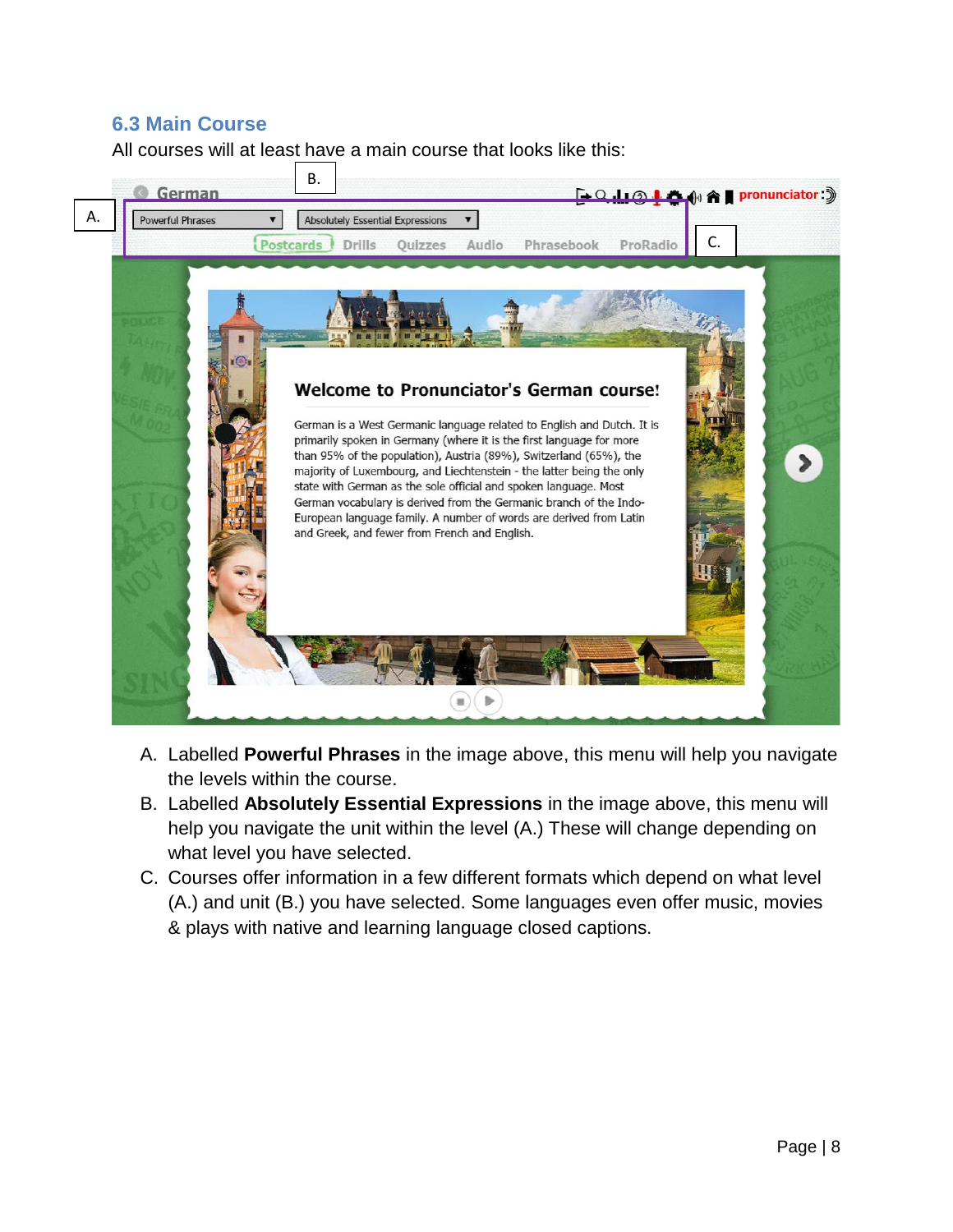### <span id="page-7-0"></span>**6.3 Main Course**

All courses will at least have a main course that looks like this:



- A. Labelled **Powerful Phrases** in the image above, this menu will help you navigate the levels within the course.
- B. Labelled **Absolutely Essential Expressions** in the image above, this menu will help you navigate the unit within the level (A.) These will change depending on what level you have selected.
- C. Courses offer information in a few different formats which depend on what level (A.) and unit (B.) you have selected. Some languages even offer music, movies & plays with native and learning language closed captions.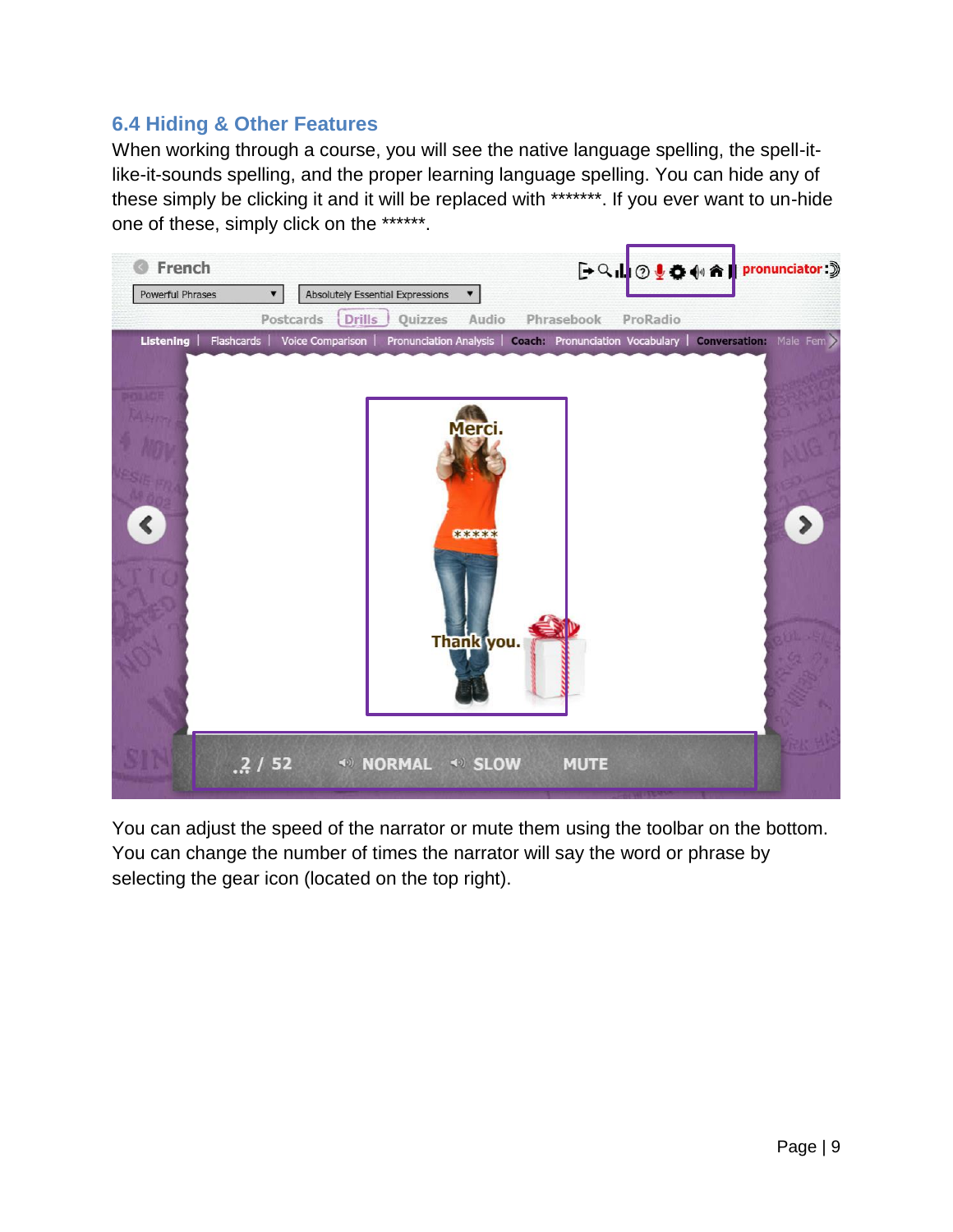## <span id="page-8-0"></span>**6.4 Hiding & Other Features**

When working through a course, you will see the native language spelling, the spell-itlike-it-sounds spelling, and the proper learning language spelling. You can hide any of these simply be clicking it and it will be replaced with \*\*\*\*\*\*\*. If you ever want to un-hide one of these, simply click on the \*\*\*\*\*\*.



You can adjust the speed of the narrator or mute them using the toolbar on the bottom. You can change the number of times the narrator will say the word or phrase by selecting the gear icon (located on the top right).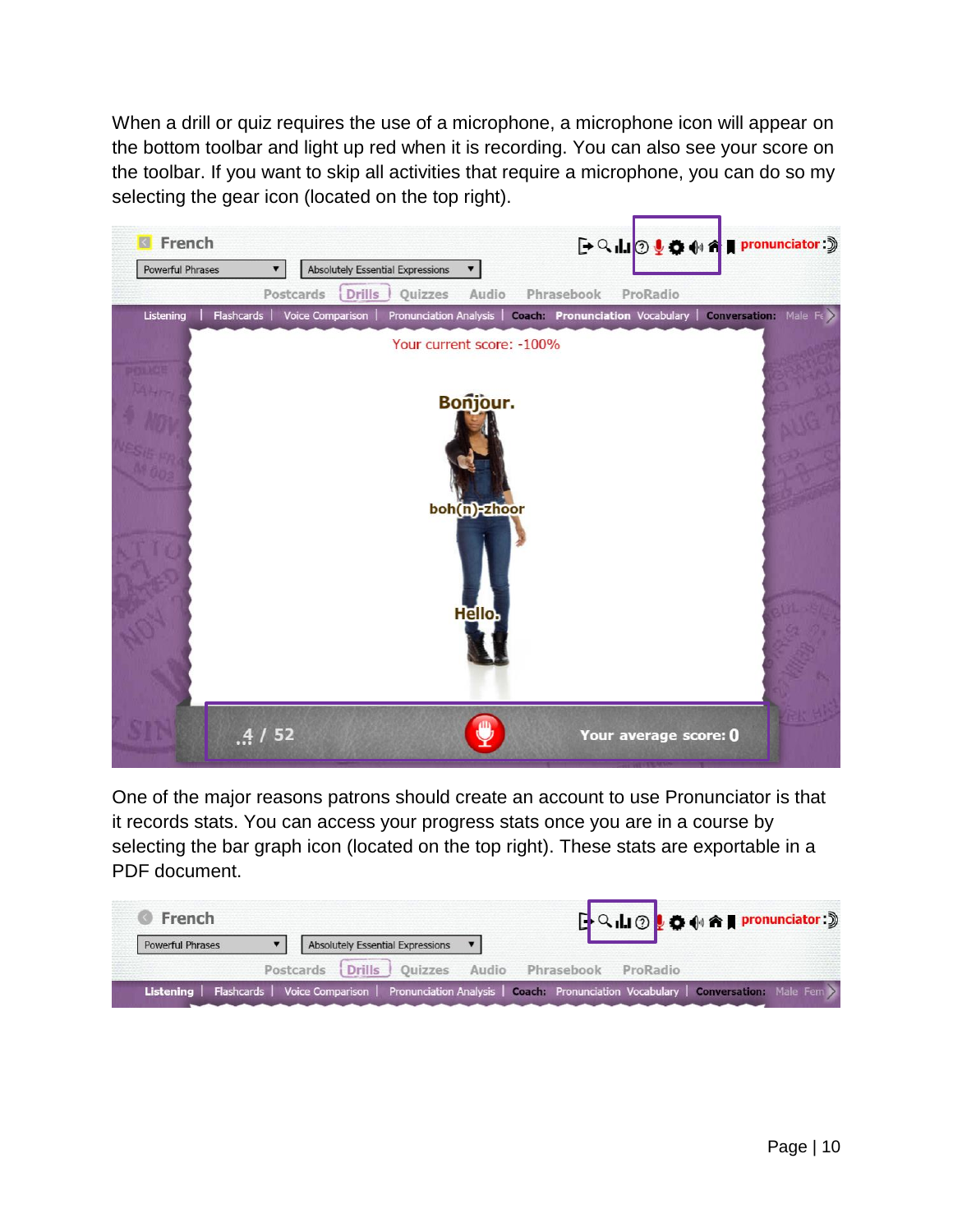When a drill or quiz requires the use of a microphone, a microphone icon will appear on the bottom toolbar and light up red when it is recording. You can also see your score on the toolbar. If you want to skip all activities that require a microphone, you can do so my selecting the gear icon (located on the top right).



One of the major reasons patrons should create an account to use Pronunciator is that it records stats. You can access your progress stats once you are in a course by selecting the bar graph icon (located on the top right). These stats are exportable in a PDF document.

| French                  |                                                    | <b>FQII ② 2 ● 4 A Pronunciator:</b> 》                                                                                           |
|-------------------------|----------------------------------------------------|---------------------------------------------------------------------------------------------------------------------------------|
| <b>Powerful Phrases</b> | V Absolutely Essential Expressions V               |                                                                                                                                 |
|                         | Postcards Drills Quizzes Audio Phrasebook ProRadio |                                                                                                                                 |
|                         |                                                    | Listening   Flashcards   Voice Comparison   Pronunciation Analysis   Coach: Pronunciation Vocabulary   Conversation: Male Fem > |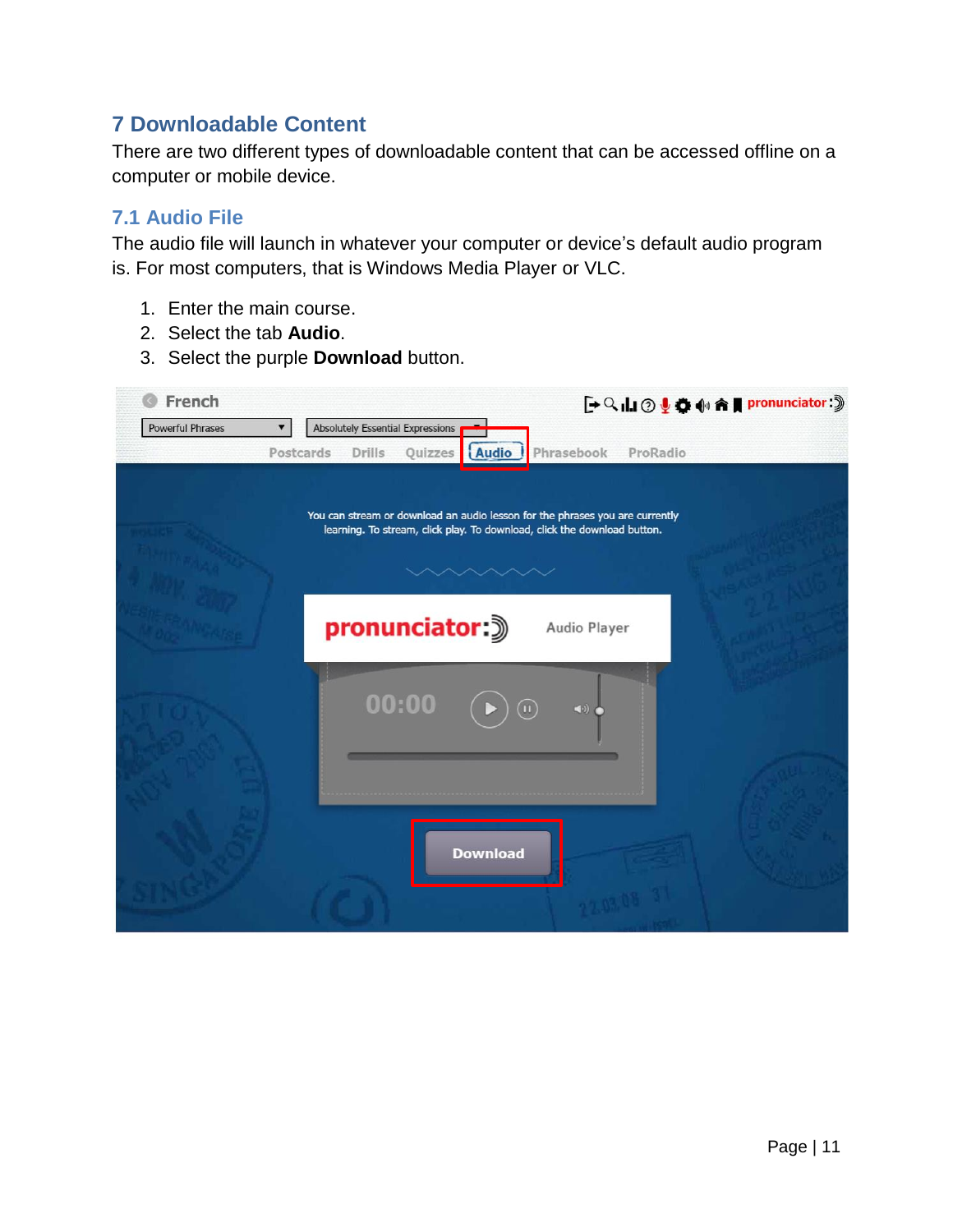## <span id="page-10-0"></span>**7 Downloadable Content**

There are two different types of downloadable content that can be accessed offline on a computer or mobile device.

## <span id="page-10-1"></span>**7.1 Audio File**

The audio file will launch in whatever your computer or device's default audio program is. For most computers, that is Windows Media Player or VLC.

- 1. Enter the main course.
- 2. Select the tab **Audio**.
- 3. Select the purple **Download** button.